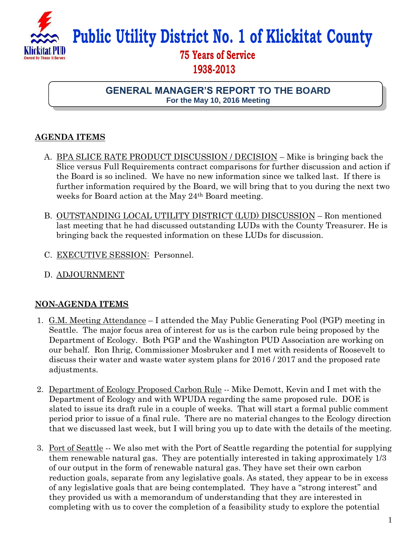

**Public Utility District No. 1 of Klickitat County**

## **75 Years of Service 1938-2013**

**GENERAL MANAGER'S REPORT TO THE BOARD For the May 10, 2016 Meeting**

## **AGENDA ITEMS**

- A. BPA SLICE RATE PRODUCT DISCUSSION / DECISION Mike is bringing back the Slice versus Full Requirements contract comparisons for further discussion and action if the Board is so inclined. We have no new information since we talked last. If there is further information required by the Board, we will bring that to you during the next two weeks for Board action at the May 24th Board meeting.
- B. OUTSTANDING LOCAL UTILITY DISTRICT (LUD) DISCUSSION Ron mentioned last meeting that he had discussed outstanding LUDs with the County Treasurer. He is bringing back the requested information on these LUDs for discussion.
- C. EXECUTIVE SESSION: Personnel.
- D. ADJOURNMENT

## **NON-AGENDA ITEMS**

- 1. G.M. Meeting Attendance I attended the May Public Generating Pool (PGP) meeting in Seattle. The major focus area of interest for us is the carbon rule being proposed by the Department of Ecology. Both PGP and the Washington PUD Association are working on our behalf. Ron Ihrig, Commissioner Mosbruker and I met with residents of Roosevelt to discuss their water and waste water system plans for 2016 / 2017 and the proposed rate adjustments.
- 2. Department of Ecology Proposed Carbon Rule -- Mike Demott, Kevin and I met with the Department of Ecology and with WPUDA regarding the same proposed rule. DOE is slated to issue its draft rule in a couple of weeks. That will start a formal public comment period prior to issue of a final rule. There are no material changes to the Ecology direction that we discussed last week, but I will bring you up to date with the details of the meeting.
- 3. Port of Seattle -- We also met with the Port of Seattle regarding the potential for supplying them renewable natural gas. They are potentially interested in taking approximately 1/3 of our output in the form of renewable natural gas. They have set their own carbon reduction goals, separate from any legislative goals. As stated, they appear to be in excess of any legislative goals that are being contemplated. They have a "strong interest" and they provided us with a memorandum of understanding that they are interested in completing with us to cover the completion of a feasibility study to explore the potential